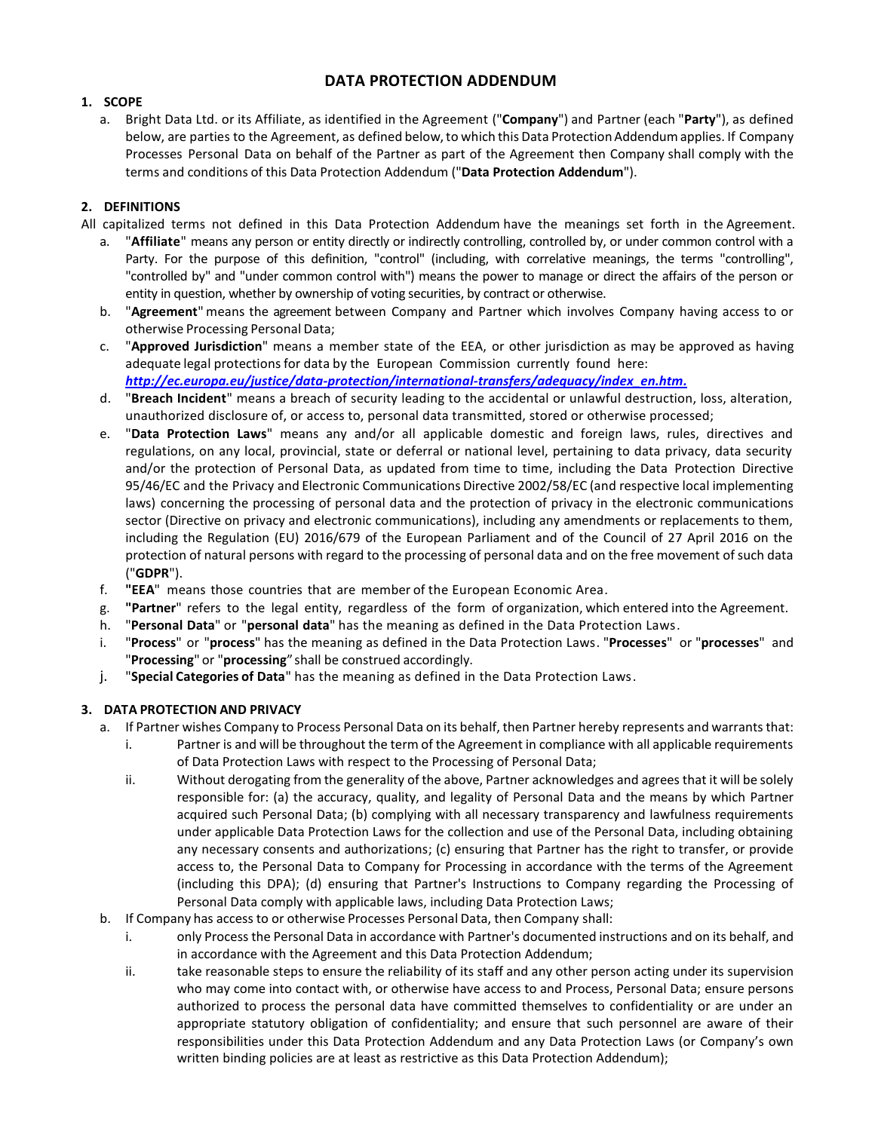# **DATA PROTECTION ADDENDUM**

# **1. SCOPE**

a. Bright Data Ltd. or its Affiliate, as identified in the Agreement ("**Company**") and Partner (each "**Party**"), as defined below, are parties to the Agreement, as defined below, to which this Data Protection Addendum applies. If Company Processes Personal Data on behalf of the Partner as part of the Agreement then Company shall comply with the terms and conditions of this Data Protection Addendum ("**Data Protection Addendum**").

# **2. DEFINITIONS**

All capitalized terms not defined in this Data Protection Addendum have the meanings set forth in the Agreement.

- a. "**Affiliate**" means any person or entity directly or indirectly controlling, controlled by, or under common control with a Party. For the purpose of this definition, "control" (including, with correlative meanings, the terms "controlling", "controlled by" and "under common control with") means the power to manage or direct the affairs of the person or entity in question, whether by ownership of voting securities, by contract or otherwise.
- b. "**Agreement**" means the agreement between Company and Partner which involves Company having access to or otherwise Processing Personal Data;
- c. "**Approved Jurisdiction**" means a member state of the EEA, or other jurisdiction as may be approved as having adequate legal protections for data by the European Commission currently found here: *[http://ec.europa.eu/justice/data-protection/international-transfers/adequacy/index\\_en.htm.](http://ec.europa.eu/justice/data-protection/international-transfers/adequacy/index_en.htm)*
- d. "**Breach Incident**" means a breach of security leading to the accidental or unlawful destruction, loss, alteration, unauthorized disclosure of, or access to, personal data transmitted, stored or otherwise processed;
- e. "**Data Protection Laws**" means any and/or all applicable domestic and foreign laws, rules, directives and regulations, on any local, provincial, state or deferral or national level, pertaining to data privacy, data security and/or the protection of Personal Data, as updated from time to time, including the Data Protection Directive 95/46/EC and the Privacy and Electronic Communications Directive 2002/58/EC (and respective local implementing laws) concerning the processing of personal data and the protection of privacy in the electronic communications sector (Directive on privacy and electronic communications), including any amendments or replacements to them, including the Regulation (EU) 2016/679 of the European Parliament and of the Council of 27 April 2016 on the protection of natural persons with regard to the processing of personal data and on the free movement of such data ("**GDPR**").
- f. **"EEA**" means those countries that are member of the European Economic Area.
- g. **"Partner**" refers to the legal entity, regardless of the form of organization, which entered into the Agreement.
- h. "**Personal Data**" or "**personal data**" has the meaning as defined in the Data Protection Laws.
- i. "**Process**" or "**process**" has the meaning as defined in the Data Protection Laws. "**Processes**" or "**processes**" and "**Processing**" or "**processing**" shall be construed accordingly.
- j. "**Special Categories of Data**" has the meaning as defined in the Data Protection Laws.

### **3. DATA PROTECTION AND PRIVACY**

- a. If Partner wishes Company to Process Personal Data on its behalf, then Partner hereby represents and warrants that:
	- i. Partner is and will be throughout the term of the Agreement in compliance with all applicable requirements of Data Protection Laws with respect to the Processing of Personal Data;
	- ii. Without derogating from the generality of the above, Partner acknowledges and agrees that it will be solely responsible for: (a) the accuracy, quality, and legality of Personal Data and the means by which Partner acquired such Personal Data; (b) complying with all necessary transparency and lawfulness requirements under applicable Data Protection Laws for the collection and use of the Personal Data, including obtaining any necessary consents and authorizations; (c) ensuring that Partner has the right to transfer, or provide access to, the Personal Data to Company for Processing in accordance with the terms of the Agreement (including this DPA); (d) ensuring that Partner's Instructions to Company regarding the Processing of Personal Data comply with applicable laws, including Data Protection Laws;
- b. If Company has access to or otherwise Processes Personal Data, then Company shall:
	- i. only Process the Personal Data in accordance with Partner's documented instructions and on its behalf, and in accordance with the Agreement and this Data Protection Addendum;
	- ii. take reasonable steps to ensure the reliability of its staff and any other person acting under its supervision who may come into contact with, or otherwise have access to and Process, Personal Data; ensure persons authorized to process the personal data have committed themselves to confidentiality or are under an appropriate statutory obligation of confidentiality; and ensure that such personnel are aware of their responsibilities under this Data Protection Addendum and any Data Protection Laws (or Company's own written binding policies are at least as restrictive as this Data Protection Addendum);